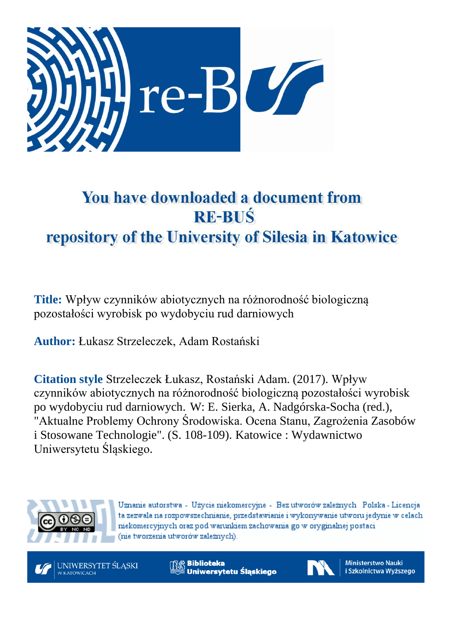

# You have downloaded a document from **RE-BUŚ** repository of the University of Silesia in Katowice

**Title:** Wpływ czynników abiotycznych na różnorodność biologiczną pozostałości wyrobisk po wydobyciu rud darniowych

**Author:** Łukasz Strzeleczek, Adam Rostański

**Citation style** Strzeleczek Łukasz, Rostański Adam. (2017). Wpływ czynników abiotycznych na różnorodność biologiczną pozostałości wyrobisk po wydobyciu rud darniowych. W: E. Sierka, A. Nadgórska-Socha (red.), "Aktualne Problemy Ochrony Środowiska. Ocena Stanu, Zagrożenia Zasobów i Stosowane Technologie". (S. 108-109). Katowice : Wydawnictwo Uniwersytetu Śląskiego.



Uznanie autorstwa - Użycie niekomercyjne - Bez utworów zależnych Polska - Licencja ta zezwala na rozpowszechnianie, przedstawianie i wykonywanie utworu jedynie w celach niekomercyjnych oraz pod warunkiem zachowania go w oryginalnej postaci (nie tworzenia utworów zależnych).



<sup>R</sup> Biblioteka Uniwersytetu Śląskiego



**Ministerstwo Nauki** i Szkolnictwa Wyższego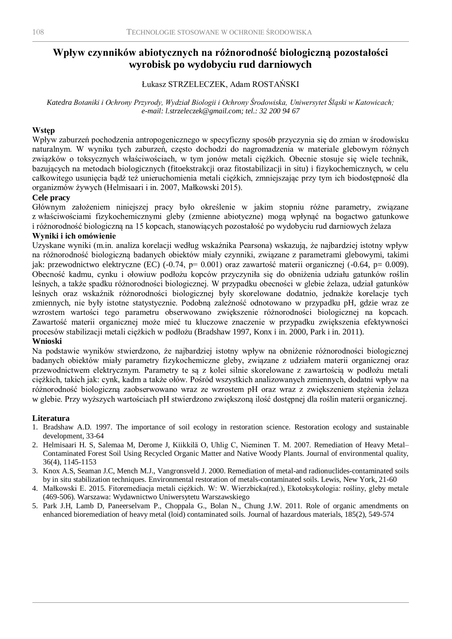# **Wpływ czynników abiotycznych na różnorodność biologiczną pozostałości wyrobisk po wydobyciu rud darniowych**

### Łukasz STRZELECZEK, Adam ROSTAŃSKI

*Katedra Botaniki i Ochrony Przyrody, Wydział Biologii i Ochrony Środowiska, Uniwersytet Śląski w Katowicach; e-mail: l.strzeleczek@gmail.com; tel.: 32 200 94 67*

#### **Wstęp**

Wpływ zaburzeń pochodzenia antropogenicznego w specyficzny sposób przyczynia się do zmian w środowisku naturalnym. W wyniku tych zaburzeń, często dochodzi do nagromadzenia w materiale glebowym różnych związków o toksycznych właściwościach, w tym jonów metali ciężkich. Obecnie stosuje się wiele technik, bazujących na metodach biologicznych (fitoekstrakcji oraz fitostabilizacji in situ) i fizykochemicznych, w celu całkowitego usunięcia bądź też unieruchomienia metali ciężkich, zmniejszając przy tym ich biodostępność dla organizmów żywych (Helmisaari i in. 2007, Małkowski 2015).

### **Cele pracy**

Głównym założeniem niniejszej pracy było określenie w jakim stopniu różne parametry, związane z właściwościami fizykochemicznymi gleby (zmienne abiotyczne) mogą wpłynąć na bogactwo gatunkowe i różnorodność biologiczną na 15 kopcach, stanowiących pozostałość po wydobyciu rud darniowych żelaza

### **Wyniki i ich omówienie**

Uzyskane wyniki (m.in. analiza korelacji według wskaźnika Pearsona) wskazują, że najbardziej istotny wpływ na różnorodność biologiczną badanych obiektów miały czynniki, związane z parametrami glebowymi, takimi jak: przewodnictwo elektryczne (EC) (-0.74, p= 0.001) oraz zawartość materii organicznej (-0.64, p= 0.009). Obecność kadmu, cynku i ołowiuw podłożu kopców przyczyniła się do obniżenia udziału gatunków roślin leśnych, a także spadku różnorodności biologicznej. W przypadku obecności w glebie żelaza, udział gatunków leśnych oraz wskaźnik różnorodności biologicznej były skorelowane dodatnio, jednakże korelacje tych zmiennych, nie były istotne statystycznie. Podobną zależność odnotowano w przypadku pH, gdzie wraz ze wzrostem wartości tego parametru obserwowano zwiększenie różnorodności biologicznej na kopcach. Zawartość materii organicznej może mieć tu kluczowe znaczenie w przypadku zwiększenia efektywności procesów stabilizacji metali ciężkich w podłożu (Bradshaw 1997, Konx i in. 2000, Park i in. 2011).

#### **Wnioski**

Na podstawie wyników stwierdzono, że najbardziej istotny wpływ na obniżenie różnorodności biologicznej badanych obiektów miały parametry fizykochemiczne gleby, związane z udziałem materii organicznej oraz przewodnictwem elektrycznym. Parametry te są z kolei silnie skorelowane z zawartością w podłożu metali ciężkich, takich jak: cynk, kadm a także ołów. Pośród wszystkich analizowanych zmiennych, dodatni wpływ na różnorodność biologiczną zaobserwowano wraz ze wzrostem pH oraz wraz z zwiększeniem stężenia żelaza w glebie. Przy wyższych wartościach pH stwierdzono zwiększoną ilość dostępnej dla roślin materii organicznej.

#### **Literatura**

- 1. Bradshaw A.D. 1997. The importance of soil ecology in restoration science. Restoration ecology and sustainable development, 33-64
- 2. Helmisaari H. S, Salemaa M, Derome J, Kiikkilä O, Uhlig C, Nieminen T. M. 2007. Remediation of Heavy Metal– Contaminated Forest Soil Using Recycled Organic Matter and Native Woody Plants. Journal of environmental quality, 36(4), 1145-1153
- 3. Knox A.S, Seaman J.C, Mench M.J., Vangronsveld J. 2000. Remediation of metal-and radionuclides-contaminated soils by in situ stabilization techniques. Environmental restoration of metals-contaminated soils. Lewis, New York, 21-60
- 4. Małkowski E. 2015. Fitoremediacja metali ciężkich. W: W. Wierzbicka(red.), Ekotoksykologia: rośliny, gleby metale (469-506). Warszawa: Wydawnictwo Uniwersytetu Warszawskiego
- 5. Park J.H, Lamb D, Paneerselvam P., Choppala G., Bolan N., Chung J.W. 2011. Role of organic amendments on enhanced bioremediation of heavy metal (loid) contaminated soils. Journal of hazardous materials, 185(2), 549-574